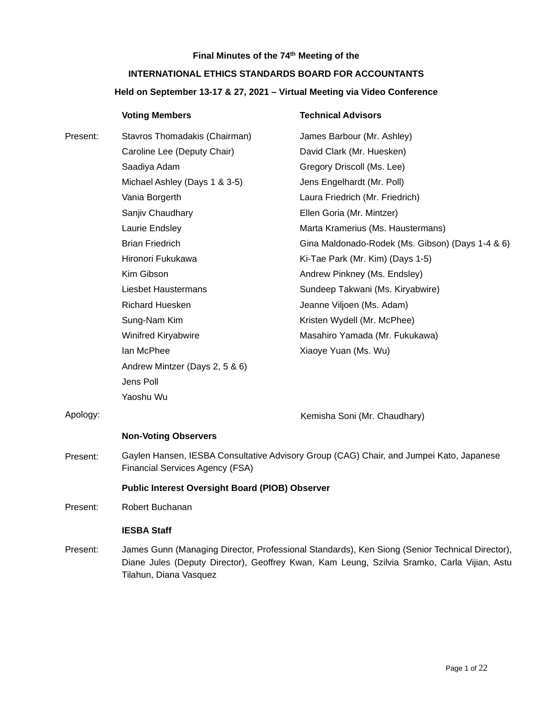# **Final Minutes of the 74th Meeting of the INTERNATIONAL ETHICS STANDARDS BOARD FOR ACCOUNTANTS Held on September 13-17 & 27, 2021 – Virtual Meeting via Video Conference**

|          | <b>Voting Members</b>                                                                                                                                                                         | <b>Technical Advisors</b>                        |
|----------|-----------------------------------------------------------------------------------------------------------------------------------------------------------------------------------------------|--------------------------------------------------|
| Present: | Stavros Thomadakis (Chairman)                                                                                                                                                                 | James Barbour (Mr. Ashley)                       |
|          | Caroline Lee (Deputy Chair)                                                                                                                                                                   | David Clark (Mr. Huesken)                        |
|          | Saadiya Adam                                                                                                                                                                                  | Gregory Driscoll (Ms. Lee)                       |
|          | Michael Ashley (Days 1 & 3-5)                                                                                                                                                                 | Jens Engelhardt (Mr. Poll)                       |
|          | Vania Borgerth                                                                                                                                                                                | Laura Friedrich (Mr. Friedrich)                  |
|          | Sanjiv Chaudhary                                                                                                                                                                              | Ellen Goria (Mr. Mintzer)                        |
|          | Laurie Endsley                                                                                                                                                                                | Marta Kramerius (Ms. Haustermans)                |
|          | <b>Brian Friedrich</b>                                                                                                                                                                        | Gina Maldonado-Rodek (Ms. Gibson) (Days 1-4 & 6) |
|          | Hironori Fukukawa                                                                                                                                                                             | Ki-Tae Park (Mr. Kim) (Days 1-5)                 |
|          | Kim Gibson                                                                                                                                                                                    | Andrew Pinkney (Ms. Endsley)                     |
|          | Liesbet Haustermans                                                                                                                                                                           | Sundeep Takwani (Ms. Kiryabwire)                 |
|          | <b>Richard Huesken</b>                                                                                                                                                                        | Jeanne Viljoen (Ms. Adam)                        |
|          | Sung-Nam Kim                                                                                                                                                                                  | Kristen Wydell (Mr. McPhee)                      |
|          | Winifred Kiryabwire                                                                                                                                                                           | Masahiro Yamada (Mr. Fukukawa)                   |
|          | lan McPhee                                                                                                                                                                                    | Xiaoye Yuan (Ms. Wu)                             |
|          | Andrew Mintzer (Days 2, 5 & 6)                                                                                                                                                                |                                                  |
|          | Jens Poll                                                                                                                                                                                     |                                                  |
|          | Yaoshu Wu                                                                                                                                                                                     |                                                  |
| Apology: |                                                                                                                                                                                               | Kemisha Soni (Mr. Chaudhary)                     |
|          | <b>Non-Voting Observers</b>                                                                                                                                                                   |                                                  |
| Present: | Gaylen Hansen, IESBA Consultative Advisory Group (CAG) Chair, and Jumpei Kato, Japanese<br><b>Financial Services Agency (FSA)</b>                                                             |                                                  |
|          | <b>Public Interest Oversight Board (PIOB) Observer</b>                                                                                                                                        |                                                  |
| Present: | Robert Buchanan                                                                                                                                                                               |                                                  |
|          | <b>IESBA Staff</b>                                                                                                                                                                            |                                                  |
| Present: | James Gunn (Managing Director, Professional Standards), Ken Siong (Senior Technical Director),<br>Diane Jules (Deputy Director), Geoffrey Kwan, Kam Leung, Szilvia Sramko, Carla Vijian, Astu |                                                  |

Tilahun, Diana Vasquez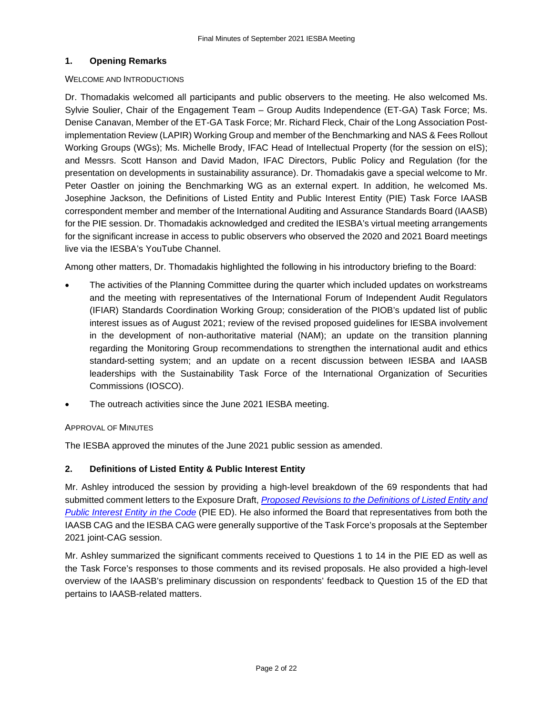# **1. Opening Remarks**

## WELCOME AND INTRODUCTIONS

Dr. Thomadakis welcomed all participants and public observers to the meeting. He also welcomed Ms. Sylvie Soulier, Chair of the Engagement Team – Group Audits Independence (ET-GA) Task Force; Ms. Denise Canavan, Member of the ET-GA Task Force; Mr. Richard Fleck, Chair of the Long Association Postimplementation Review (LAPIR) Working Group and member of the Benchmarking and NAS & Fees Rollout Working Groups (WGs); Ms. Michelle Brody, IFAC Head of Intellectual Property (for the session on eIS); and Messrs. Scott Hanson and David Madon, IFAC Directors, Public Policy and Regulation (for the presentation on developments in sustainability assurance). Dr. Thomadakis gave a special welcome to Mr. Peter Oastler on joining the Benchmarking WG as an external expert. In addition, he welcomed Ms. Josephine Jackson, the Definitions of Listed Entity and Public Interest Entity (PIE) Task Force IAASB correspondent member and member of the International Auditing and Assurance Standards Board (IAASB) for the PIE session. Dr. Thomadakis acknowledged and credited the IESBA's virtual meeting arrangements for the significant increase in access to public observers who observed the 2020 and 2021 Board meetings live via the IESBA's YouTube Channel.

Among other matters, Dr. Thomadakis highlighted the following in his introductory briefing to the Board:

- The activities of the Planning Committee during the quarter which included updates on workstreams and the meeting with representatives of the International Forum of Independent Audit Regulators (IFIAR) Standards Coordination Working Group; consideration of the PIOB's updated list of public interest issues as of August 2021; review of the revised proposed guidelines for IESBA involvement in the development of non-authoritative material (NAM); an update on the transition planning regarding the Monitoring Group recommendations to strengthen the international audit and ethics standard-setting system; and an update on a recent discussion between IESBA and IAASB leaderships with the Sustainability Task Force of the International Organization of Securities Commissions (IOSCO).
- The outreach activities since the June 2021 IESBA meeting.

# APPROVAL OF MINUTES

The IESBA approved the minutes of the June 2021 public session as amended.

# **2. Definitions of Listed Entity & Public Interest Entity**

Mr. Ashley introduced the session by providing a high-level breakdown of the 69 respondents that had submitted comment letters to the Exposure Draft, *[Proposed Revisions to the Definitions of Listed Entity and](https://www.ethicsboard.org/publications/proposed-revisions-definitions-listed-entity-and-public-interest-entity-code)  [Public Interest Entity in the Code](https://www.ethicsboard.org/publications/proposed-revisions-definitions-listed-entity-and-public-interest-entity-code)* (PIE ED). He also informed the Board that representatives from both the IAASB CAG and the IESBA CAG were generally supportive of the Task Force's proposals at the September 2021 joint-CAG session.

Mr. Ashley summarized the significant comments received to Questions 1 to 14 in the PIE ED as well as the Task Force's responses to those comments and its revised proposals. He also provided a high-level overview of the IAASB's preliminary discussion on respondents' feedback to Question 15 of the ED that pertains to IAASB-related matters.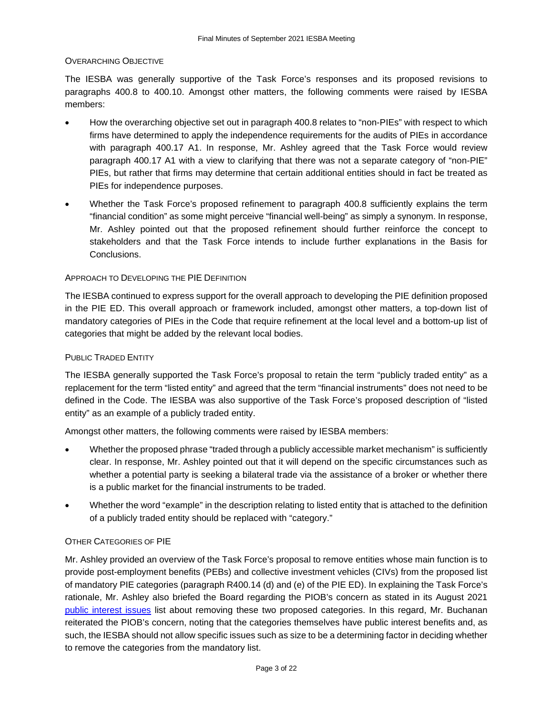#### OVERARCHING OBJECTIVE

The IESBA was generally supportive of the Task Force's responses and its proposed revisions to paragraphs 400.8 to 400.10. Amongst other matters, the following comments were raised by IESBA members:

- How the overarching objective set out in paragraph 400.8 relates to "non-PIEs" with respect to which firms have determined to apply the independence requirements for the audits of PIEs in accordance with paragraph 400.17 A1. In response, Mr. Ashley agreed that the Task Force would review paragraph 400.17 A1 with a view to clarifying that there was not a separate category of "non-PIE" PIEs, but rather that firms may determine that certain additional entities should in fact be treated as PIEs for independence purposes.
- Whether the Task Force's proposed refinement to paragraph 400.8 sufficiently explains the term "financial condition" as some might perceive "financial well-being" as simply a synonym. In response, Mr. Ashley pointed out that the proposed refinement should further reinforce the concept to stakeholders and that the Task Force intends to include further explanations in the Basis for Conclusions.

#### APPROACH TO DEVELOPING THE PIE DEFINITION

The IESBA continued to express support for the overall approach to developing the PIE definition proposed in the PIE ED. This overall approach or framework included, amongst other matters, a top-down list of mandatory categories of PIEs in the Code that require refinement at the local level and a bottom-up list of categories that might be added by the relevant local bodies.

#### PUBLIC TRADED ENTITY

The IESBA generally supported the Task Force's proposal to retain the term "publicly traded entity" as a replacement for the term "listed entity" and agreed that the term "financial instruments" does not need to be defined in the Code. The IESBA was also supportive of the Task Force's proposed description of "listed entity" as an example of a publicly traded entity.

Amongst other matters, the following comments were raised by IESBA members:

- Whether the proposed phrase "traded through a publicly accessible market mechanism" is sufficiently clear. In response, Mr. Ashley pointed out that it will depend on the specific circumstances such as whether a potential party is seeking a bilateral trade via the assistance of a broker or whether there is a public market for the financial instruments to be traded.
- Whether the word "example" in the description relating to listed entity that is attached to the definition of a publicly traded entity should be replaced with "category."

#### OTHER CATEGORIES OF PIE

Mr. Ashley provided an overview of the Task Force's proposal to remove entities whose main function is to provide post-employment benefits (PEBs) and collective investment vehicles (CIVs) from the proposed list of mandatory PIE categories (paragraph R400.14 (d) and (e) of the PIE ED). In explaining the Task Force's rationale, Mr. Ashley also briefed the Board regarding the PIOB's concern as stated in its August 2021 [public interest issues](https://ipiob.org/wp-content/uploads/2021/08/PIOBs-PI-Issues-on-IESBA-projects-August-2021.pdf) list about removing these two proposed categories. In this regard, Mr. Buchanan reiterated the PIOB's concern, noting that the categories themselves have public interest benefits and, as such, the IESBA should not allow specific issues such as size to be a determining factor in deciding whether to remove the categories from the mandatory list.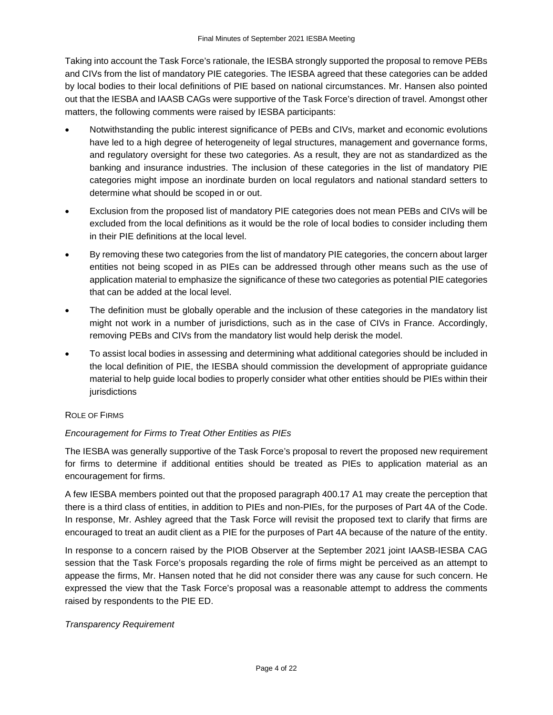Taking into account the Task Force's rationale, the IESBA strongly supported the proposal to remove PEBs and CIVs from the list of mandatory PIE categories. The IESBA agreed that these categories can be added by local bodies to their local definitions of PIE based on national circumstances. Mr. Hansen also pointed out that the IESBA and IAASB CAGs were supportive of the Task Force's direction of travel. Amongst other matters, the following comments were raised by IESBA participants:

- Notwithstanding the public interest significance of PEBs and CIVs, market and economic evolutions have led to a high degree of heterogeneity of legal structures, management and governance forms, and regulatory oversight for these two categories. As a result, they are not as standardized as the banking and insurance industries. The inclusion of these categories in the list of mandatory PIE categories might impose an inordinate burden on local regulators and national standard setters to determine what should be scoped in or out.
- Exclusion from the proposed list of mandatory PIE categories does not mean PEBs and CIVs will be excluded from the local definitions as it would be the role of local bodies to consider including them in their PIE definitions at the local level.
- By removing these two categories from the list of mandatory PIE categories, the concern about larger entities not being scoped in as PIEs can be addressed through other means such as the use of application material to emphasize the significance of these two categories as potential PIE categories that can be added at the local level.
- The definition must be globally operable and the inclusion of these categories in the mandatory list might not work in a number of jurisdictions, such as in the case of CIVs in France. Accordingly, removing PEBs and CIVs from the mandatory list would help derisk the model.
- To assist local bodies in assessing and determining what additional categories should be included in the local definition of PIE, the IESBA should commission the development of appropriate guidance material to help guide local bodies to properly consider what other entities should be PIEs within their iurisdictions

#### ROLE OF FIRMS

# *Encouragement for Firms to Treat Other Entities as PIEs*

The IESBA was generally supportive of the Task Force's proposal to revert the proposed new requirement for firms to determine if additional entities should be treated as PIEs to application material as an encouragement for firms.

A few IESBA members pointed out that the proposed paragraph 400.17 A1 may create the perception that there is a third class of entities, in addition to PIEs and non-PIEs, for the purposes of Part 4A of the Code. In response, Mr. Ashley agreed that the Task Force will revisit the proposed text to clarify that firms are encouraged to treat an audit client as a PIE for the purposes of Part 4A because of the nature of the entity.

In response to a concern raised by the PIOB Observer at the September 2021 joint IAASB-IESBA CAG session that the Task Force's proposals regarding the role of firms might be perceived as an attempt to appease the firms, Mr. Hansen noted that he did not consider there was any cause for such concern. He expressed the view that the Task Force's proposal was a reasonable attempt to address the comments raised by respondents to the PIE ED.

#### *Transparency Requirement*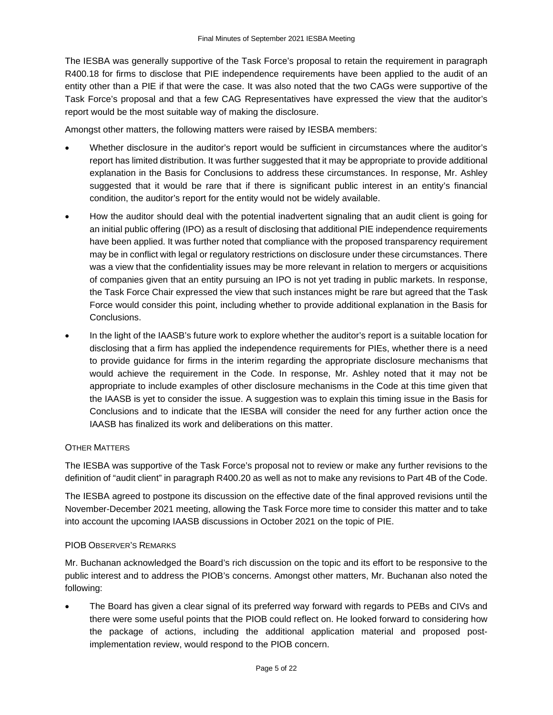The IESBA was generally supportive of the Task Force's proposal to retain the requirement in paragraph R400.18 for firms to disclose that PIE independence requirements have been applied to the audit of an entity other than a PIE if that were the case. It was also noted that the two CAGs were supportive of the Task Force's proposal and that a few CAG Representatives have expressed the view that the auditor's report would be the most suitable way of making the disclosure.

Amongst other matters, the following matters were raised by IESBA members:

- Whether disclosure in the auditor's report would be sufficient in circumstances where the auditor's report has limited distribution. It was further suggested that it may be appropriate to provide additional explanation in the Basis for Conclusions to address these circumstances. In response, Mr. Ashley suggested that it would be rare that if there is significant public interest in an entity's financial condition, the auditor's report for the entity would not be widely available.
- How the auditor should deal with the potential inadvertent signaling that an audit client is going for an initial public offering (IPO) as a result of disclosing that additional PIE independence requirements have been applied. It was further noted that compliance with the proposed transparency requirement may be in conflict with legal or regulatory restrictions on disclosure under these circumstances. There was a view that the confidentiality issues may be more relevant in relation to mergers or acquisitions of companies given that an entity pursuing an IPO is not yet trading in public markets. In response, the Task Force Chair expressed the view that such instances might be rare but agreed that the Task Force would consider this point, including whether to provide additional explanation in the Basis for **Conclusions**
- In the light of the IAASB's future work to explore whether the auditor's report is a suitable location for disclosing that a firm has applied the independence requirements for PIEs, whether there is a need to provide guidance for firms in the interim regarding the appropriate disclosure mechanisms that would achieve the requirement in the Code. In response, Mr. Ashley noted that it may not be appropriate to include examples of other disclosure mechanisms in the Code at this time given that the IAASB is yet to consider the issue. A suggestion was to explain this timing issue in the Basis for Conclusions and to indicate that the IESBA will consider the need for any further action once the IAASB has finalized its work and deliberations on this matter.

#### OTHER MATTERS

The IESBA was supportive of the Task Force's proposal not to review or make any further revisions to the definition of "audit client" in paragraph R400.20 as well as not to make any revisions to Part 4B of the Code.

The IESBA agreed to postpone its discussion on the effective date of the final approved revisions until the November-December 2021 meeting, allowing the Task Force more time to consider this matter and to take into account the upcoming IAASB discussions in October 2021 on the topic of PIE.

#### PIOB OBSERVER'S REMARKS

Mr. Buchanan acknowledged the Board's rich discussion on the topic and its effort to be responsive to the public interest and to address the PIOB's concerns. Amongst other matters, Mr. Buchanan also noted the following:

• The Board has given a clear signal of its preferred way forward with regards to PEBs and CIVs and there were some useful points that the PIOB could reflect on. He looked forward to considering how the package of actions, including the additional application material and proposed postimplementation review, would respond to the PIOB concern.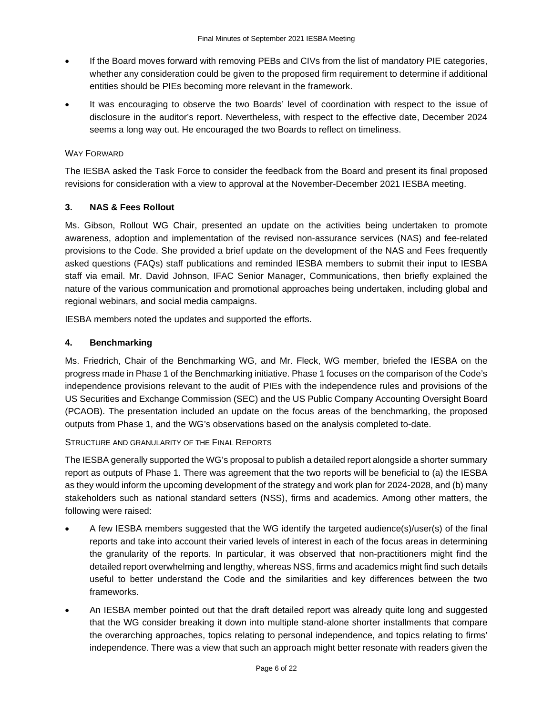- If the Board moves forward with removing PEBs and CIVs from the list of mandatory PIE categories, whether any consideration could be given to the proposed firm requirement to determine if additional entities should be PIEs becoming more relevant in the framework.
- It was encouraging to observe the two Boards' level of coordination with respect to the issue of disclosure in the auditor's report. Nevertheless, with respect to the effective date, December 2024 seems a long way out. He encouraged the two Boards to reflect on timeliness.

## WAY FORWARD

The IESBA asked the Task Force to consider the feedback from the Board and present its final proposed revisions for consideration with a view to approval at the November-December 2021 IESBA meeting.

## **3. NAS & Fees Rollout**

Ms. Gibson, Rollout WG Chair, presented an update on the activities being undertaken to promote awareness, adoption and implementation of the revised non-assurance services (NAS) and fee-related provisions to the Code. She provided a brief update on the development of the NAS and Fees frequently asked questions (FAQs) staff publications and reminded IESBA members to submit their input to IESBA staff via email. Mr. David Johnson, IFAC Senior Manager, Communications, then briefly explained the nature of the various communication and promotional approaches being undertaken, including global and regional webinars, and social media campaigns.

IESBA members noted the updates and supported the efforts.

## **4. Benchmarking**

Ms. Friedrich, Chair of the Benchmarking WG, and Mr. Fleck, WG member, briefed the IESBA on the progress made in Phase 1 of the Benchmarking initiative. Phase 1 focuses on the comparison of the Code's independence provisions relevant to the audit of PIEs with the independence rules and provisions of the US Securities and Exchange Commission (SEC) and the US Public Company Accounting Oversight Board (PCAOB). The presentation included an update on the focus areas of the benchmarking, the proposed outputs from Phase 1, and the WG's observations based on the analysis completed to-date.

#### STRUCTURE AND GRANULARITY OF THE FINAL REPORTS

The IESBA generally supported the WG's proposal to publish a detailed report alongside a shorter summary report as outputs of Phase 1. There was agreement that the two reports will be beneficial to (a) the IESBA as they would inform the upcoming development of the strategy and work plan for 2024-2028, and (b) many stakeholders such as national standard setters (NSS), firms and academics. Among other matters, the following were raised:

- A few IESBA members suggested that the WG identify the targeted audience(s)/user(s) of the final reports and take into account their varied levels of interest in each of the focus areas in determining the granularity of the reports. In particular, it was observed that non-practitioners might find the detailed report overwhelming and lengthy, whereas NSS, firms and academics might find such details useful to better understand the Code and the similarities and key differences between the two frameworks.
- An IESBA member pointed out that the draft detailed report was already quite long and suggested that the WG consider breaking it down into multiple stand-alone shorter installments that compare the overarching approaches, topics relating to personal independence, and topics relating to firms' independence. There was a view that such an approach might better resonate with readers given the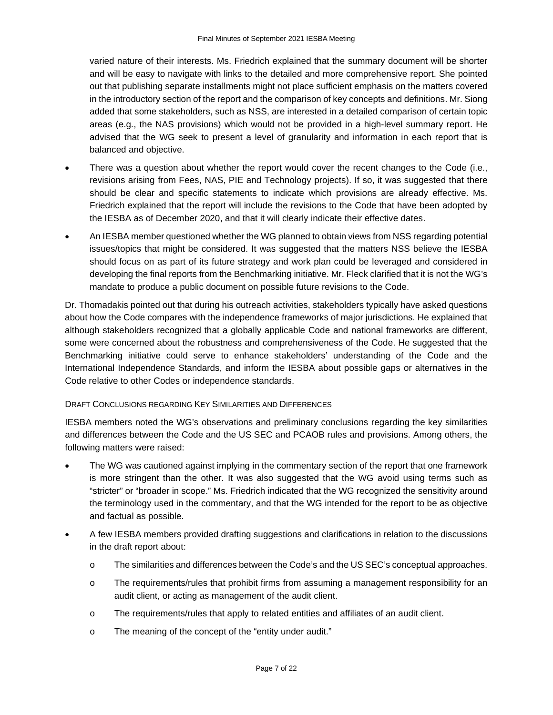varied nature of their interests. Ms. Friedrich explained that the summary document will be shorter and will be easy to navigate with links to the detailed and more comprehensive report. She pointed out that publishing separate installments might not place sufficient emphasis on the matters covered in the introductory section of the report and the comparison of key concepts and definitions. Mr. Siong added that some stakeholders, such as NSS, are interested in a detailed comparison of certain topic areas (e.g., the NAS provisions) which would not be provided in a high-level summary report. He advised that the WG seek to present a level of granularity and information in each report that is balanced and objective.

- There was a question about whether the report would cover the recent changes to the Code (i.e., revisions arising from Fees, NAS, PIE and Technology projects). If so, it was suggested that there should be clear and specific statements to indicate which provisions are already effective. Ms. Friedrich explained that the report will include the revisions to the Code that have been adopted by the IESBA as of December 2020, and that it will clearly indicate their effective dates.
- An IESBA member questioned whether the WG planned to obtain views from NSS regarding potential issues/topics that might be considered. It was suggested that the matters NSS believe the IESBA should focus on as part of its future strategy and work plan could be leveraged and considered in developing the final reports from the Benchmarking initiative. Mr. Fleck clarified that it is not the WG's mandate to produce a public document on possible future revisions to the Code.

Dr. Thomadakis pointed out that during his outreach activities, stakeholders typically have asked questions about how the Code compares with the independence frameworks of major jurisdictions. He explained that although stakeholders recognized that a globally applicable Code and national frameworks are different, some were concerned about the robustness and comprehensiveness of the Code. He suggested that the Benchmarking initiative could serve to enhance stakeholders' understanding of the Code and the International Independence Standards, and inform the IESBA about possible gaps or alternatives in the Code relative to other Codes or independence standards.

#### DRAFT CONCLUSIONS REGARDING KEY SIMILARITIES AND DIFFERENCES

IESBA members noted the WG's observations and preliminary conclusions regarding the key similarities and differences between the Code and the US SEC and PCAOB rules and provisions. Among others, the following matters were raised:

- The WG was cautioned against implying in the commentary section of the report that one framework is more stringent than the other. It was also suggested that the WG avoid using terms such as "stricter" or "broader in scope." Ms. Friedrich indicated that the WG recognized the sensitivity around the terminology used in the commentary, and that the WG intended for the report to be as objective and factual as possible.
- A few IESBA members provided drafting suggestions and clarifications in relation to the discussions in the draft report about:
	- o The similarities and differences between the Code's and the US SEC's conceptual approaches.
	- o The requirements/rules that prohibit firms from assuming a management responsibility for an audit client, or acting as management of the audit client.
	- o The requirements/rules that apply to related entities and affiliates of an audit client.
	- o The meaning of the concept of the "entity under audit."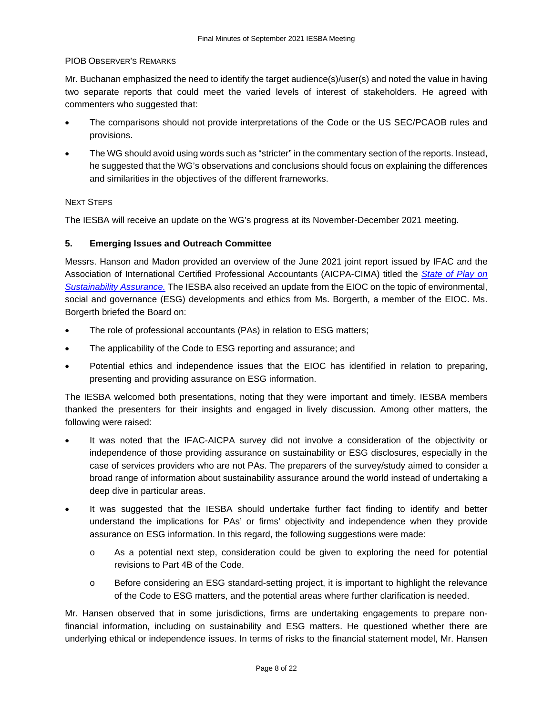#### PIOB OBSERVER'S REMARKS

Mr. Buchanan emphasized the need to identify the target audience(s)/user(s) and noted the value in having two separate reports that could meet the varied levels of interest of stakeholders. He agreed with commenters who suggested that:

- The comparisons should not provide interpretations of the Code or the US SEC/PCAOB rules and provisions.
- The WG should avoid using words such as "stricter" in the commentary section of the reports. Instead, he suggested that the WG's observations and conclusions should focus on explaining the differences and similarities in the objectives of the different frameworks.

## NEXT STEPS

The IESBA will receive an update on the WG's progress at its November-December 2021 meeting.

# **5. Emerging Issues and Outreach Committee**

Messrs. Hanson and Madon provided an overview of the June 2021 joint report issued by IFAC and the Association of International Certified Professional Accountants (AICPA-CIMA) titled the *[State of Play on](https://www.ifac.org/news-events/2021-06/new-study-reveals-lack-standardization-sustainability-assurance?utm_source=IFAC+Main+List&utm_campaign=5d7bd16686-EMAIL_CAMPAIGN_2021_06_22_09_34&utm_medium=email&utm_term=0_cc08d67019-5d7bd16686-80339705)  [Sustainability Assurance.](https://www.ifac.org/news-events/2021-06/new-study-reveals-lack-standardization-sustainability-assurance?utm_source=IFAC+Main+List&utm_campaign=5d7bd16686-EMAIL_CAMPAIGN_2021_06_22_09_34&utm_medium=email&utm_term=0_cc08d67019-5d7bd16686-80339705)* The IESBA also received an update from the EIOC on the topic of environmental, social and governance (ESG) developments and ethics from Ms. Borgerth, a member of the EIOC. Ms. Borgerth briefed the Board on:

- The role of professional accountants (PAs) in relation to ESG matters;
- The applicability of the Code to ESG reporting and assurance; and
- Potential ethics and independence issues that the EIOC has identified in relation to preparing, presenting and providing assurance on ESG information.

The IESBA welcomed both presentations, noting that they were important and timely. IESBA members thanked the presenters for their insights and engaged in lively discussion. Among other matters, the following were raised:

- It was noted that the IFAC-AICPA survey did not involve a consideration of the objectivity or independence of those providing assurance on sustainability or ESG disclosures, especially in the case of services providers who are not PAs. The preparers of the survey/study aimed to consider a broad range of information about sustainability assurance around the world instead of undertaking a deep dive in particular areas.
- It was suggested that the IESBA should undertake further fact finding to identify and better understand the implications for PAs' or firms' objectivity and independence when they provide assurance on ESG information. In this regard, the following suggestions were made:
	- o As a potential next step, consideration could be given to exploring the need for potential revisions to Part 4B of the Code.
	- o Before considering an ESG standard-setting project, it is important to highlight the relevance of the Code to ESG matters, and the potential areas where further clarification is needed.

Mr. Hansen observed that in some jurisdictions, firms are undertaking engagements to prepare nonfinancial information, including on sustainability and ESG matters. He questioned whether there are underlying ethical or independence issues. In terms of risks to the financial statement model, Mr. Hansen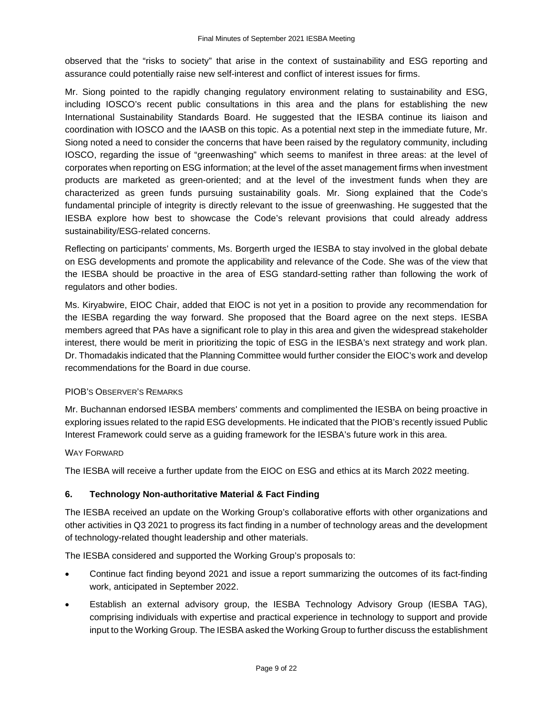observed that the "risks to society" that arise in the context of sustainability and ESG reporting and assurance could potentially raise new self-interest and conflict of interest issues for firms.

Mr. Siong pointed to the rapidly changing regulatory environment relating to sustainability and ESG, including IOSCO's recent public consultations in this area and the plans for establishing the new International Sustainability Standards Board. He suggested that the IESBA continue its liaison and coordination with IOSCO and the IAASB on this topic. As a potential next step in the immediate future, Mr. Siong noted a need to consider the concerns that have been raised by the regulatory community, including IOSCO, regarding the issue of "greenwashing" which seems to manifest in three areas: at the level of corporates when reporting on ESG information; at the level of the asset management firms when investment products are marketed as green-oriented; and at the level of the investment funds when they are characterized as green funds pursuing sustainability goals. Mr. Siong explained that the Code's fundamental principle of integrity is directly relevant to the issue of greenwashing. He suggested that the IESBA explore how best to showcase the Code's relevant provisions that could already address sustainability/ESG-related concerns.

Reflecting on participants' comments, Ms. Borgerth urged the IESBA to stay involved in the global debate on ESG developments and promote the applicability and relevance of the Code. She was of the view that the IESBA should be proactive in the area of ESG standard-setting rather than following the work of regulators and other bodies.

Ms. Kiryabwire, EIOC Chair, added that EIOC is not yet in a position to provide any recommendation for the IESBA regarding the way forward. She proposed that the Board agree on the next steps. IESBA members agreed that PAs have a significant role to play in this area and given the widespread stakeholder interest, there would be merit in prioritizing the topic of ESG in the IESBA's next strategy and work plan. Dr. Thomadakis indicated that the Planning Committee would further consider the EIOC's work and develop recommendations for the Board in due course.

# PIOB'S OBSERVER'S REMARKS

Mr. Buchannan endorsed IESBA members' comments and complimented the IESBA on being proactive in exploring issues related to the rapid ESG developments. He indicated that the PIOB's recently issued Public Interest Framework could serve as a guiding framework for the IESBA's future work in this area.

#### WAY FORWARD

The IESBA will receive a further update from the EIOC on ESG and ethics at its March 2022 meeting.

# **6. Technology Non-authoritative Material & Fact Finding**

The IESBA received an update on the Working Group's collaborative efforts with other organizations and other activities in Q3 2021 to progress its fact finding in a number of technology areas and the development of technology-related thought leadership and other materials.

The IESBA considered and supported the Working Group's proposals to:

- Continue fact finding beyond 2021 and issue a report summarizing the outcomes of its fact-finding work, anticipated in September 2022.
- Establish an external advisory group, the IESBA Technology Advisory Group (IESBA TAG), comprising individuals with expertise and practical experience in technology to support and provide input to the Working Group. The IESBA asked the Working Group to further discuss the establishment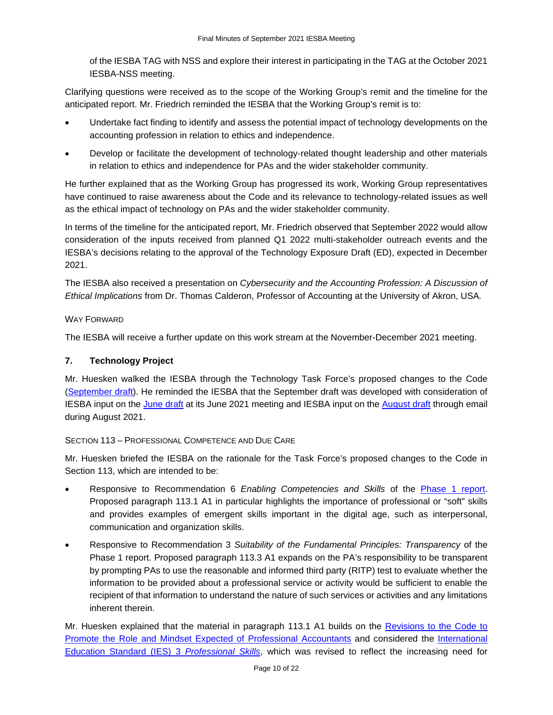of the IESBA TAG with NSS and explore their interest in participating in the TAG at the October 2021 IESBA-NSS meeting.

Clarifying questions were received as to the scope of the Working Group's remit and the timeline for the anticipated report. Mr. Friedrich reminded the IESBA that the Working Group's remit is to:

- Undertake fact finding to identify and assess the potential impact of technology developments on the accounting profession in relation to ethics and independence.
- Develop or facilitate the development of technology-related thought leadership and other materials in relation to ethics and independence for PAs and the wider stakeholder community.

He further explained that as the Working Group has progressed its work, Working Group representatives have continued to raise awareness about the Code and its relevance to technology-related issues as well as the ethical impact of technology on PAs and the wider stakeholder community.

In terms of the timeline for the anticipated report, Mr. Friedrich observed that September 2022 would allow consideration of the inputs received from planned Q1 2022 multi-stakeholder outreach events and the IESBA's decisions relating to the approval of the Technology Exposure Draft (ED), expected in December 2021.

The IESBA also received a presentation on *Cybersecurity and the Accounting Profession: A Discussion of Ethical Implications* from Dr. Thomas Calderon, Professor of Accounting at the University of Akron, USA*.*

# WAY FORWARD

The IESBA will receive a further update on this work stream at the November-December 2021 meeting.

# **7. Technology Project**

Mr. Huesken walked the IESBA through the Technology Task Force's proposed changes to the Code [\(September draft\)](https://www.ifac.org/system/files/meetings/files/Agenda-Item-7B-Technology-Project-Technology-related-Revisions-Mark-up-from-Extant.pdf). He reminded the IESBA that the September draft was developed with consideration of IESBA input on the [June draft](https://www.ifac.org/system/files/meetings/files/Agenda-Item-5A-Technology-Project-Strawman-Mark-Up.pdf) at its June 2021 meeting and IESBA input on the [August](https://www.ifac.org/system/files/meetings/files/Agenda-Item-5A-Updated-Technology-Project-Strawman-August-Draft-Mark-Up.pdf) draft through email during August 2021.

# SECTION 113 – PROFESSIONAL COMPETENCE AND DUE CARE

Mr. Huesken briefed the IESBA on the rationale for the Task Force's proposed changes to the Code in Section 113, which are intended to be:

- Responsive to Recommendation 6 *Enabling Competencies and Skills* of the [Phase 1 report.](https://www.ethicsboard.org/publications/iesba-technology-working-groups-phase-1-report) Proposed paragraph 113.1 A1 in particular highlights the importance of professional or "soft" skills and provides examples of emergent skills important in the digital age, such as interpersonal, communication and organization skills.
- Responsive to Recommendation 3 *Suitability of the Fundamental Principles: Transparency* of the Phase 1 report. Proposed paragraph 113.3 A1 expands on the PA's responsibility to be transparent by prompting PAs to use the reasonable and informed third party (RITP) test to evaluate whether the information to be provided about a professional service or activity would be sufficient to enable the recipient of that information to understand the nature of such services or activities and any limitations inherent therein.

Mr. Huesken explained that the material in paragraph 113.1 A1 builds on the [Revisions to the Code to](https://www.ethicsboard.org/publications/final-pronouncement-revisions-code-promote-role-and-mindset-expected-professional-accountants)  [Promote the Role and Mindset Expected of Professional Accountants](https://www.ethicsboard.org/publications/final-pronouncement-revisions-code-promote-role-and-mindset-expected-professional-accountants) and considered the [International](https://education.ifac.org/index.html)  [Education Standard \(IES\) 3](https://education.ifac.org/index.html) *Professional Skills*, which was revised to reflect the increasing need for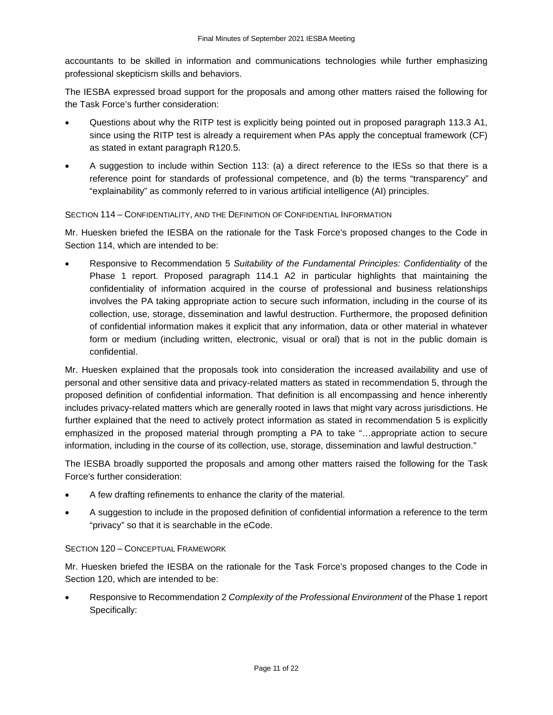accountants to be skilled in information and communications technologies while further emphasizing professional skepticism skills and behaviors.

The IESBA expressed broad support for the proposals and among other matters raised the following for the Task Force's further consideration:

- Questions about why the RITP test is explicitly being pointed out in proposed paragraph 113.3 A1, since using the RITP test is already a requirement when PAs apply the conceptual framework (CF) as stated in extant paragraph R120.5.
- A suggestion to include within Section 113: (a) a direct reference to the IESs so that there is a reference point for standards of professional competence, and (b) the terms "transparency" and "explainability" as commonly referred to in various artificial intelligence (AI) principles.

# SECTION 114 – CONFIDENTIALITY, AND THE DEFINITION OF CONFIDENTIAL INFORMATION

Mr. Huesken briefed the IESBA on the rationale for the Task Force's proposed changes to the Code in Section 114, which are intended to be:

• Responsive to Recommendation 5 *Suitability of the Fundamental Principles: Confidentiality* of the Phase 1 report. Proposed paragraph 114.1 A2 in particular highlights that maintaining the confidentiality of information acquired in the course of professional and business relationships involves the PA taking appropriate action to secure such information, including in the course of its collection, use, storage, dissemination and lawful destruction. Furthermore, the proposed definition of confidential information makes it explicit that any information, data or other material in whatever form or medium (including written, electronic, visual or oral) that is not in the public domain is confidential.

Mr. Huesken explained that the proposals took into consideration the increased availability and use of personal and other sensitive data and privacy-related matters as stated in recommendation 5, through the proposed definition of confidential information. That definition is all encompassing and hence inherently includes privacy-related matters which are generally rooted in laws that might vary across jurisdictions. He further explained that the need to actively protect information as stated in recommendation 5 is explicitly emphasized in the proposed material through prompting a PA to take "…appropriate action to secure information, including in the course of its collection, use, storage, dissemination and lawful destruction."

The IESBA broadly supported the proposals and among other matters raised the following for the Task Force's further consideration:

- A few drafting refinements to enhance the clarity of the material.
- A suggestion to include in the proposed definition of confidential information a reference to the term "privacy" so that it is searchable in the eCode.

# SECTION 120 – CONCEPTUAL FRAMEWORK

Mr. Huesken briefed the IESBA on the rationale for the Task Force's proposed changes to the Code in Section 120, which are intended to be:

• Responsive to Recommendation 2 *Complexity of the Professional Environment* of the Phase 1 report Specifically: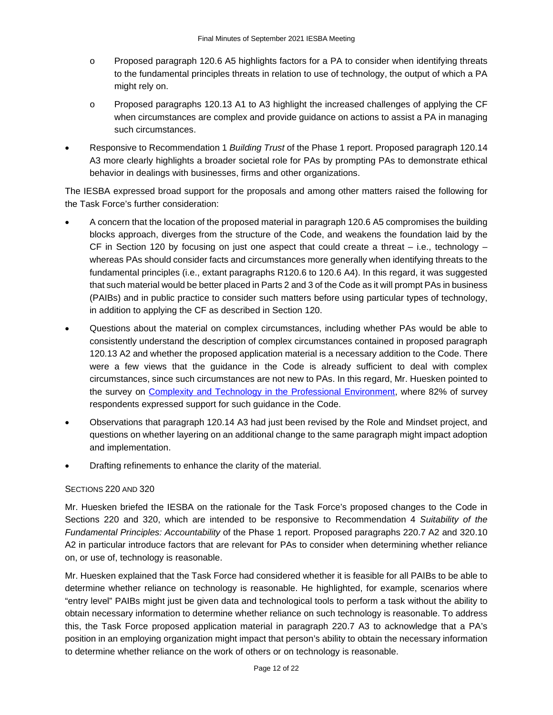- o Proposed paragraph 120.6 A5 highlights factors for a PA to consider when identifying threats to the fundamental principles threats in relation to use of technology, the output of which a PA might rely on.
- o Proposed paragraphs 120.13 A1 to A3 highlight the increased challenges of applying the CF when circumstances are complex and provide guidance on actions to assist a PA in managing such circumstances.
- Responsive to Recommendation 1 *Building Trust* of the Phase 1 report. Proposed paragraph 120.14 A3 more clearly highlights a broader societal role for PAs by prompting PAs to demonstrate ethical behavior in dealings with businesses, firms and other organizations.

The IESBA expressed broad support for the proposals and among other matters raised the following for the Task Force's further consideration:

- A concern that the location of the proposed material in paragraph 120.6 A5 compromises the building blocks approach, diverges from the structure of the Code, and weakens the foundation laid by the CF in Section 120 by focusing on just one aspect that could create a threat  $-$  i.e., technology  $$ whereas PAs should consider facts and circumstances more generally when identifying threats to the fundamental principles (i.e., extant paragraphs R120.6 to 120.6 A4). In this regard, it was suggested that such material would be better placed in Parts 2 and 3 of the Code as it will prompt PAs in business (PAIBs) and in public practice to consider such matters before using particular types of technology, in addition to applying the CF as described in Section 120.
- Questions about the material on complex circumstances, including whether PAs would be able to consistently understand the description of complex circumstances contained in proposed paragraph 120.13 A2 and whether the proposed application material is a necessary addition to the Code. There were a few views that the guidance in the Code is already sufficient to deal with complex circumstances, since such circumstances are not new to PAs. In this regard, Mr. Huesken pointed to the survey on [Complexity and Technology in the Professional Environment,](https://www.ethicsboard.org/publications/iesba-technology-surveys) where 82% of survey respondents expressed support for such guidance in the Code.
- Observations that paragraph 120.14 A3 had just been revised by the Role and Mindset project, and questions on whether layering on an additional change to the same paragraph might impact adoption and implementation.
- Drafting refinements to enhance the clarity of the material.

#### SECTIONS 220 AND 320

Mr. Huesken briefed the IESBA on the rationale for the Task Force's proposed changes to the Code in Sections 220 and 320, which are intended to be responsive to Recommendation 4 *Suitability of the Fundamental Principles: Accountability* of the Phase 1 report. Proposed paragraphs 220.7 A2 and 320.10 A2 in particular introduce factors that are relevant for PAs to consider when determining whether reliance on, or use of, technology is reasonable.

Mr. Huesken explained that the Task Force had considered whether it is feasible for all PAIBs to be able to determine whether reliance on technology is reasonable. He highlighted, for example, scenarios where "entry level" PAIBs might just be given data and technological tools to perform a task without the ability to obtain necessary information to determine whether reliance on such technology is reasonable. To address this, the Task Force proposed application material in paragraph 220.7 A3 to acknowledge that a PA's position in an employing organization might impact that person's ability to obtain the necessary information to determine whether reliance on the work of others or on technology is reasonable.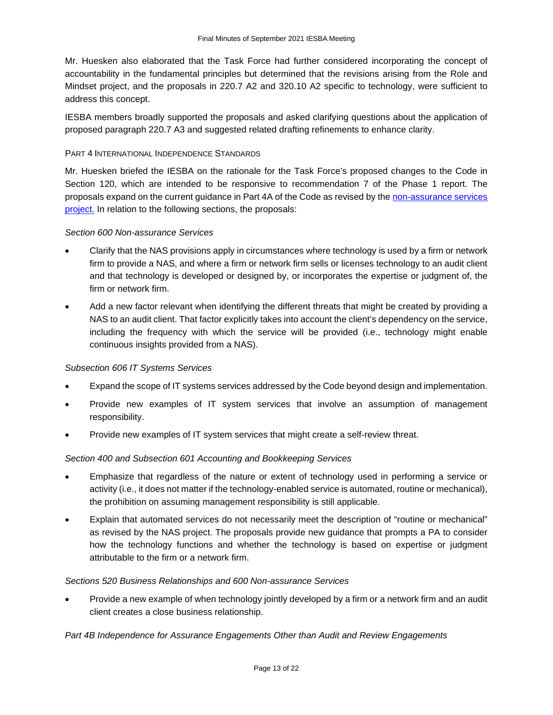Mr. Huesken also elaborated that the Task Force had further considered incorporating the concept of accountability in the fundamental principles but determined that the revisions arising from the Role and Mindset project, and the proposals in 220.7 A2 and 320.10 A2 specific to technology, were sufficient to address this concept.

IESBA members broadly supported the proposals and asked clarifying questions about the application of proposed paragraph 220.7 A3 and suggested related drafting refinements to enhance clarity.

#### PART 4 INTERNATIONAL INDEPENDENCE STANDARDS

Mr. Huesken briefed the IESBA on the rationale for the Task Force's proposed changes to the Code in Section 120, which are intended to be responsive to recommendation 7 of the Phase 1 report. The proposals expand on the current guidance in Part 4A of the Code as revised by the [non-assurance services](https://www.ethicsboard.org/publications/final-pronouncement-revisions-non-assurance-service-provisions-code)  [project.](https://www.ethicsboard.org/publications/final-pronouncement-revisions-non-assurance-service-provisions-code) In relation to the following sections, the proposals:

## *Section 600 Non-assurance Services*

- Clarify that the NAS provisions apply in circumstances where technology is used by a firm or network firm to provide a NAS, and where a firm or network firm sells or licenses technology to an audit client and that technology is developed or designed by, or incorporates the expertise or judgment of, the firm or network firm.
- Add a new factor relevant when identifying the different threats that might be created by providing a NAS to an audit client. That factor explicitly takes into account the client's dependency on the service, including the frequency with which the service will be provided (i.e., technology might enable continuous insights provided from a NAS).

#### *Subsection 606 IT Systems Services*

- Expand the scope of IT systems services addressed by the Code beyond design and implementation.
- Provide new examples of IT system services that involve an assumption of management responsibility.
- Provide new examples of IT system services that might create a self-review threat.

# *Section 400 and Subsection 601 Accounting and Bookkeeping Services*

- Emphasize that regardless of the nature or extent of technology used in performing a service or activity (i.e., it does not matter if the technology-enabled service is automated, routine or mechanical), the prohibition on assuming management responsibility is still applicable.
- Explain that automated services do not necessarily meet the description of "routine or mechanical" as revised by the NAS project. The proposals provide new guidance that prompts a PA to consider how the technology functions and whether the technology is based on expertise or judgment attributable to the firm or a network firm.

#### *Sections 520 Business Relationships and 600 Non-assurance Services*

• Provide a new example of when technology jointly developed by a firm or a network firm and an audit client creates a close business relationship.

# *Part 4B Independence for Assurance Engagements Other than Audit and Review Engagements*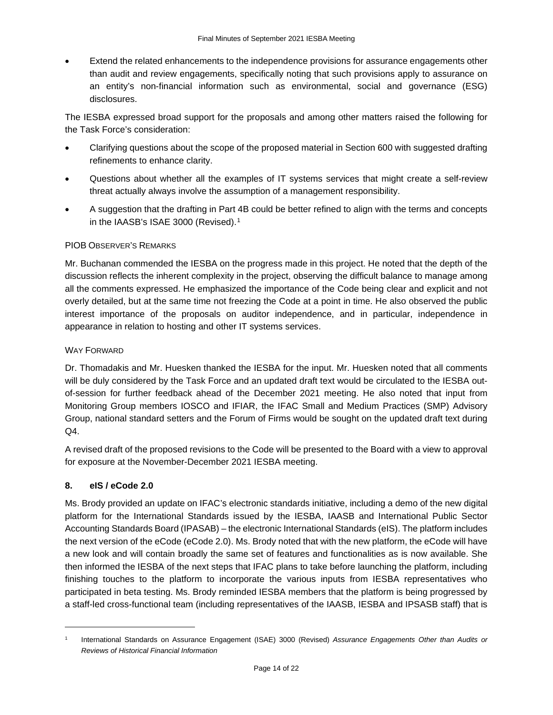• Extend the related enhancements to the independence provisions for assurance engagements other than audit and review engagements, specifically noting that such provisions apply to assurance on an entity's non-financial information such as environmental, social and governance (ESG) disclosures.

The IESBA expressed broad support for the proposals and among other matters raised the following for the Task Force's consideration:

- Clarifying questions about the scope of the proposed material in Section 600 with suggested drafting refinements to enhance clarity.
- Questions about whether all the examples of IT systems services that might create a self-review threat actually always involve the assumption of a management responsibility.
- A suggestion that the drafting in Part 4B could be better refined to align with the terms and concepts in the IAASB's ISAE 3000 (Revised).<sup>[1](#page-13-0)</sup>

# PIOB OBSERVER'S REMARKS

Mr. Buchanan commended the IESBA on the progress made in this project. He noted that the depth of the discussion reflects the inherent complexity in the project, observing the difficult balance to manage among all the comments expressed. He emphasized the importance of the Code being clear and explicit and not overly detailed, but at the same time not freezing the Code at a point in time. He also observed the public interest importance of the proposals on auditor independence, and in particular, independence in appearance in relation to hosting and other IT systems services.

## WAY FORWARD

Dr. Thomadakis and Mr. Huesken thanked the IESBA for the input. Mr. Huesken noted that all comments will be duly considered by the Task Force and an updated draft text would be circulated to the IESBA outof-session for further feedback ahead of the December 2021 meeting. He also noted that input from Monitoring Group members IOSCO and IFIAR, the IFAC Small and Medium Practices (SMP) Advisory Group, national standard setters and the Forum of Firms would be sought on the updated draft text during Q4.

A revised draft of the proposed revisions to the Code will be presented to the Board with a view to approval for exposure at the November-December 2021 IESBA meeting.

# **8. eIS / eCode 2.0**

Ms. Brody provided an update on IFAC's electronic standards initiative, including a demo of the new digital platform for the International Standards issued by the IESBA, IAASB and International Public Sector Accounting Standards Board (IPASAB) – the electronic International Standards (eIS). The platform includes the next version of the eCode (eCode 2.0). Ms. Brody noted that with the new platform, the eCode will have a new look and will contain broadly the same set of features and functionalities as is now available. She then informed the IESBA of the next steps that IFAC plans to take before launching the platform, including finishing touches to the platform to incorporate the various inputs from IESBA representatives who participated in beta testing. Ms. Brody reminded IESBA members that the platform is being progressed by a staff-led cross-functional team (including representatives of the IAASB, IESBA and IPSASB staff) that is

<span id="page-13-0"></span><sup>1</sup> International Standards on Assurance Engagement (ISAE) 3000 (Revised) *Assurance Engagements Other than Audits or Reviews of Historical Financial Information*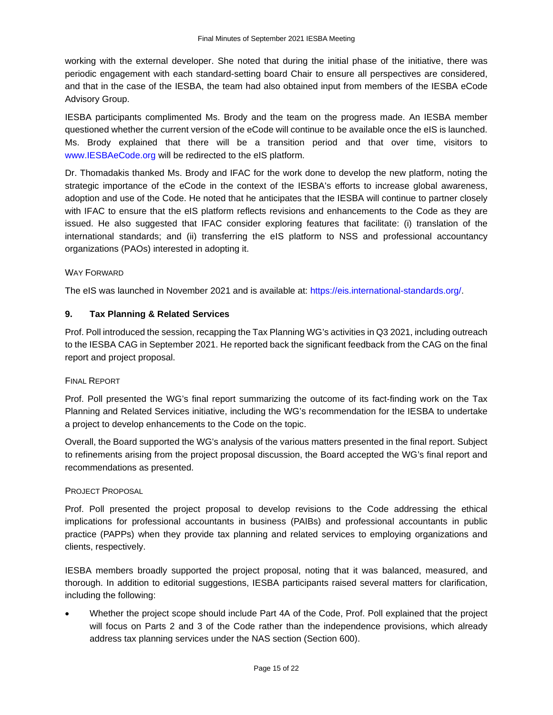working with the external developer. She noted that during the initial phase of the initiative, there was periodic engagement with each standard-setting board Chair to ensure all perspectives are considered, and that in the case of the IESBA, the team had also obtained input from members of the IESBA eCode Advisory Group.

IESBA participants complimented Ms. Brody and the team on the progress made. An IESBA member questioned whether the current version of the eCode will continue to be available once the eIS is launched. Ms. Brody explained that there will be a transition period and that over time, visitors to [www.IESBAeCode.org](http://www.iesbaecode.org/) will be redirected to the eIS platform.

Dr. Thomadakis thanked Ms. Brody and IFAC for the work done to develop the new platform, noting the strategic importance of the eCode in the context of the IESBA's efforts to increase global awareness, adoption and use of the Code. He noted that he anticipates that the IESBA will continue to partner closely with IFAC to ensure that the eIS platform reflects revisions and enhancements to the Code as they are issued. He also suggested that IFAC consider exploring features that facilitate: (i) translation of the international standards; and (ii) transferring the eIS platform to NSS and professional accountancy organizations (PAOs) interested in adopting it.

## WAY FORWARD

The eIS was launched in November 2021 and is available at: [https://eis.international-standards.org/.](https://eis.international-standards.org/)

## **9. Tax Planning & Related Services**

Prof. Poll introduced the session, recapping the Tax Planning WG's activities in Q3 2021, including outreach to the IESBA CAG in September 2021. He reported back the significant feedback from the CAG on the final report and project proposal.

#### FINAL REPORT

Prof. Poll presented the WG's final report summarizing the outcome of its fact-finding work on the Tax Planning and Related Services initiative, including the WG's recommendation for the IESBA to undertake a project to develop enhancements to the Code on the topic.

Overall, the Board supported the WG's analysis of the various matters presented in the final report. Subject to refinements arising from the project proposal discussion, the Board accepted the WG's final report and recommendations as presented.

#### PROJECT PROPOSAL

Prof. Poll presented the project proposal to develop revisions to the Code addressing the ethical implications for professional accountants in business (PAIBs) and professional accountants in public practice (PAPPs) when they provide tax planning and related services to employing organizations and clients, respectively.

IESBA members broadly supported the project proposal, noting that it was balanced, measured, and thorough. In addition to editorial suggestions, IESBA participants raised several matters for clarification, including the following:

• Whether the project scope should include Part 4A of the Code, Prof. Poll explained that the project will focus on Parts 2 and 3 of the Code rather than the independence provisions, which already address tax planning services under the NAS section (Section 600).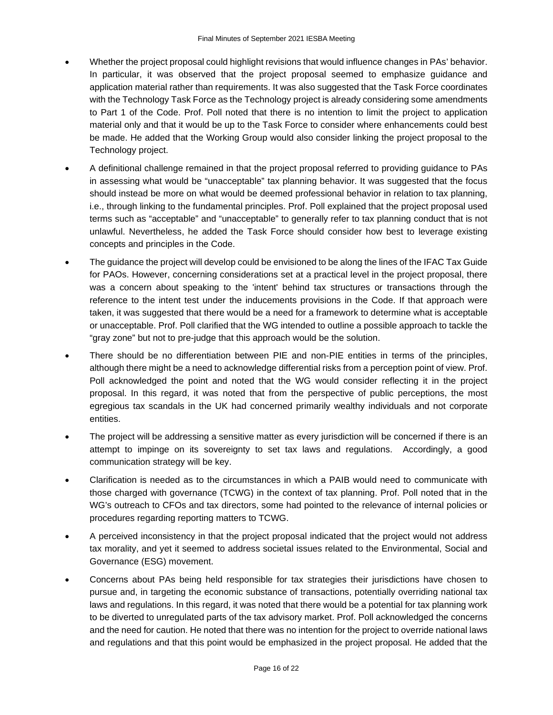- Whether the project proposal could highlight revisions that would influence changes in PAs' behavior. In particular, it was observed that the project proposal seemed to emphasize guidance and application material rather than requirements. It was also suggested that the Task Force coordinates with the Technology Task Force as the Technology project is already considering some amendments to Part 1 of the Code. Prof. Poll noted that there is no intention to limit the project to application material only and that it would be up to the Task Force to consider where enhancements could best be made. He added that the Working Group would also consider linking the project proposal to the Technology project.
- A definitional challenge remained in that the project proposal referred to providing guidance to PAs in assessing what would be "unacceptable" tax planning behavior. It was suggested that the focus should instead be more on what would be deemed professional behavior in relation to tax planning, i.e., through linking to the fundamental principles. Prof. Poll explained that the project proposal used terms such as "acceptable" and "unacceptable" to generally refer to tax planning conduct that is not unlawful. Nevertheless, he added the Task Force should consider how best to leverage existing concepts and principles in the Code.
- The guidance the project will develop could be envisioned to be along the lines of the IFAC Tax Guide for PAOs. However, concerning considerations set at a practical level in the project proposal, there was a concern about speaking to the 'intent' behind tax structures or transactions through the reference to the intent test under the inducements provisions in the Code. If that approach were taken, it was suggested that there would be a need for a framework to determine what is acceptable or unacceptable. Prof. Poll clarified that the WG intended to outline a possible approach to tackle the "gray zone" but not to pre-judge that this approach would be the solution.
- There should be no differentiation between PIE and non-PIE entities in terms of the principles, although there might be a need to acknowledge differential risks from a perception point of view. Prof. Poll acknowledged the point and noted that the WG would consider reflecting it in the project proposal. In this regard, it was noted that from the perspective of public perceptions, the most egregious tax scandals in the UK had concerned primarily wealthy individuals and not corporate entities.
- The project will be addressing a sensitive matter as every jurisdiction will be concerned if there is an attempt to impinge on its sovereignty to set tax laws and regulations. Accordingly, a good communication strategy will be key.
- Clarification is needed as to the circumstances in which a PAIB would need to communicate with those charged with governance (TCWG) in the context of tax planning. Prof. Poll noted that in the WG's outreach to CFOs and tax directors, some had pointed to the relevance of internal policies or procedures regarding reporting matters to TCWG.
- A perceived inconsistency in that the project proposal indicated that the project would not address tax morality, and yet it seemed to address societal issues related to the Environmental, Social and Governance (ESG) movement.
- Concerns about PAs being held responsible for tax strategies their jurisdictions have chosen to pursue and, in targeting the economic substance of transactions, potentially overriding national tax laws and regulations. In this regard, it was noted that there would be a potential for tax planning work to be diverted to unregulated parts of the tax advisory market. Prof. Poll acknowledged the concerns and the need for caution. He noted that there was no intention for the project to override national laws and regulations and that this point would be emphasized in the project proposal. He added that the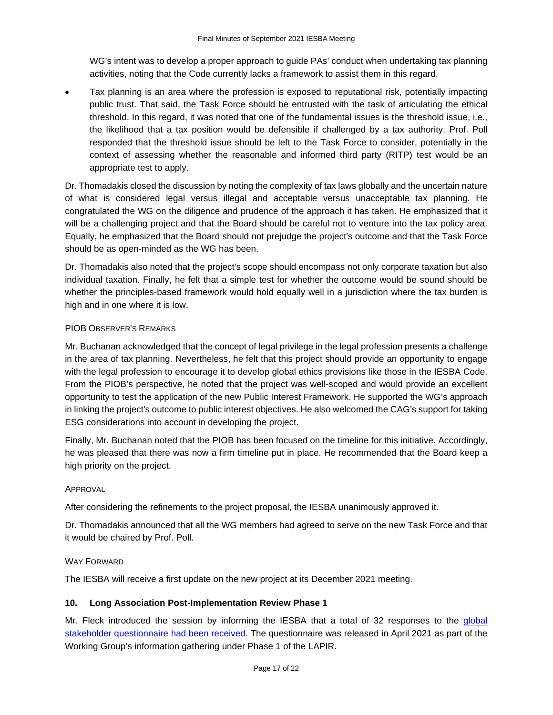WG's intent was to develop a proper approach to guide PAs' conduct when undertaking tax planning activities, noting that the Code currently lacks a framework to assist them in this regard.

• Tax planning is an area where the profession is exposed to reputational risk, potentially impacting public trust. That said, the Task Force should be entrusted with the task of articulating the ethical threshold. In this regard, it was noted that one of the fundamental issues is the threshold issue, i.e., the likelihood that a tax position would be defensible if challenged by a tax authority. Prof. Poll responded that the threshold issue should be left to the Task Force to consider, potentially in the context of assessing whether the reasonable and informed third party (RITP) test would be an appropriate test to apply.

Dr. Thomadakis closed the discussion by noting the complexity of tax laws globally and the uncertain nature of what is considered legal versus illegal and acceptable versus unacceptable tax planning. He congratulated the WG on the diligence and prudence of the approach it has taken. He emphasized that it will be a challenging project and that the Board should be careful not to venture into the tax policy area. Equally, he emphasized that the Board should not prejudge the project's outcome and that the Task Force should be as open-minded as the WG has been.

Dr. Thomadakis also noted that the project's scope should encompass not only corporate taxation but also individual taxation. Finally, he felt that a simple test for whether the outcome would be sound should be whether the principles-based framework would hold equally well in a jurisdiction where the tax burden is high and in one where it is low.

# PIOB OBSERVER'S REMARKS

Mr. Buchanan acknowledged that the concept of legal privilege in the legal profession presents a challenge in the area of tax planning. Nevertheless, he felt that this project should provide an opportunity to engage with the legal profession to encourage it to develop global ethics provisions like those in the IESBA Code. From the PIOB's perspective, he noted that the project was well-scoped and would provide an excellent opportunity to test the application of the new Public Interest Framework. He supported the WG's approach in linking the project's outcome to public interest objectives. He also welcomed the CAG's support for taking ESG considerations into account in developing the project.

Finally, Mr. Buchanan noted that the PIOB has been focused on the timeline for this initiative. Accordingly, he was pleased that there was now a firm timeline put in place. He recommended that the Board keep a high priority on the project.

# APPROVAL

After considering the refinements to the project proposal, the IESBA unanimously approved it.

Dr. Thomadakis announced that all the WG members had agreed to serve on the new Task Force and that it would be chaired by Prof. Poll.

# WAY FORWARD

The IESBA will receive a first update on the new project at its December 2021 meeting.

# **10. Long Association Post-Implementation Review Phase 1**

Mr. Fleck introduced the session by informing the IESBA that a total of 32 responses to the global [stakeholder questionnaire](https://www.ethicsboard.org/publications/iesbas-long-association-post-implementation-review-lapir-questionnaire) had been received. The questionnaire was released in April 2021 as part of the Working Group's information gathering under Phase 1 of the LAPIR.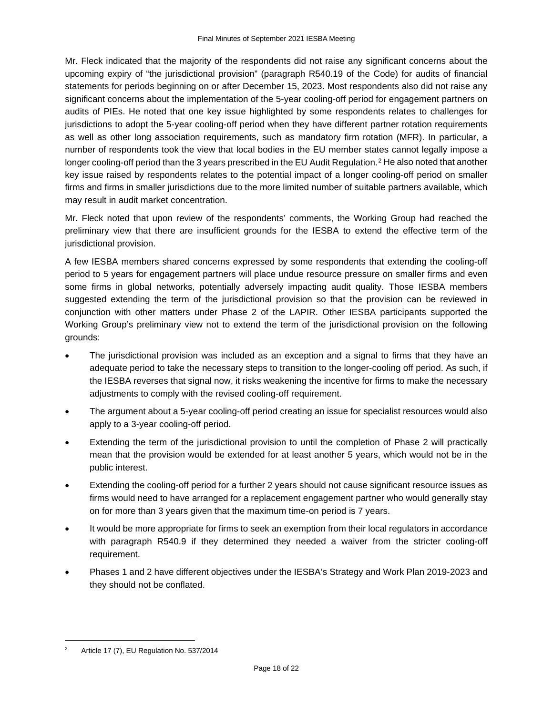Mr. Fleck indicated that the majority of the respondents did not raise any significant concerns about the upcoming expiry of "the jurisdictional provision" (paragraph R540.19 of the Code) for audits of financial statements for periods beginning on or after December 15, 2023. Most respondents also did not raise any significant concerns about the implementation of the 5-year cooling-off period for engagement partners on audits of PIEs. He noted that one key issue highlighted by some respondents relates to challenges for jurisdictions to adopt the 5-year cooling-off period when they have different partner rotation requirements as well as other long association requirements, such as mandatory firm rotation (MFR). In particular, a number of respondents took the view that local bodies in the EU member states cannot legally impose a longer cooling-off period than the 3 years prescribed in the EU Audit Regulation.<sup>[2](#page-17-0)</sup> He also noted that another key issue raised by respondents relates to the potential impact of a longer cooling-off period on smaller firms and firms in smaller jurisdictions due to the more limited number of suitable partners available, which may result in audit market concentration.

Mr. Fleck noted that upon review of the respondents' comments, the Working Group had reached the preliminary view that there are insufficient grounds for the IESBA to extend the effective term of the jurisdictional provision.

A few IESBA members shared concerns expressed by some respondents that extending the cooling-off period to 5 years for engagement partners will place undue resource pressure on smaller firms and even some firms in global networks, potentially adversely impacting audit quality. Those IESBA members suggested extending the term of the jurisdictional provision so that the provision can be reviewed in conjunction with other matters under Phase 2 of the LAPIR. Other IESBA participants supported the Working Group's preliminary view not to extend the term of the jurisdictional provision on the following grounds:

- The jurisdictional provision was included as an exception and a signal to firms that they have an adequate period to take the necessary steps to transition to the longer-cooling off period. As such, if the IESBA reverses that signal now, it risks weakening the incentive for firms to make the necessary adjustments to comply with the revised cooling-off requirement.
- The argument about a 5-year cooling-off period creating an issue for specialist resources would also apply to a 3-year cooling-off period.
- Extending the term of the jurisdictional provision to until the completion of Phase 2 will practically mean that the provision would be extended for at least another 5 years, which would not be in the public interest.
- Extending the cooling-off period for a further 2 years should not cause significant resource issues as firms would need to have arranged for a replacement engagement partner who would generally stay on for more than 3 years given that the maximum time-on period is 7 years.
- It would be more appropriate for firms to seek an exemption from their local regulators in accordance with paragraph R540.9 if they determined they needed a waiver from the stricter cooling-off requirement.
- Phases 1 and 2 have different objectives under the IESBA's Strategy and Work Plan 2019-2023 and they should not be conflated.

<span id="page-17-0"></span><sup>&</sup>lt;sup>2</sup> Article 17 (7), EU Regulation No.  $537/2014$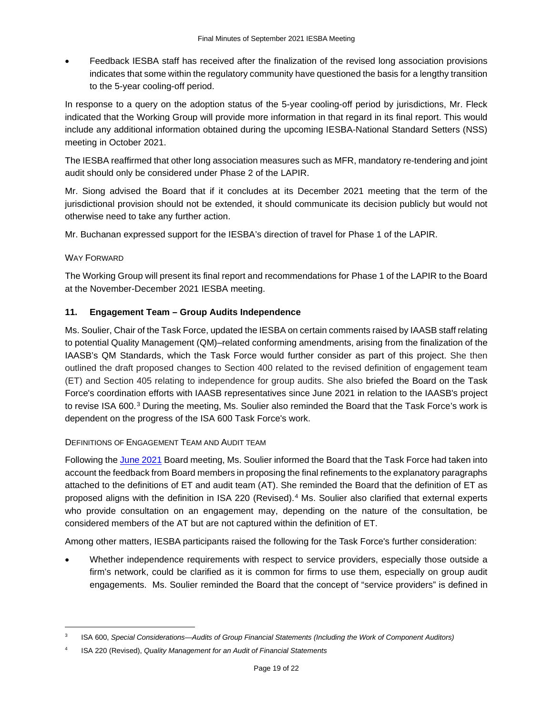• Feedback IESBA staff has received after the finalization of the revised long association provisions indicates that some within the regulatory community have questioned the basis for a lengthy transition to the 5-year cooling-off period.

In response to a query on the adoption status of the 5-year cooling-off period by jurisdictions, Mr. Fleck indicated that the Working Group will provide more information in that regard in its final report. This would include any additional information obtained during the upcoming IESBA-National Standard Setters (NSS) meeting in October 2021.

The IESBA reaffirmed that other long association measures such as MFR, mandatory re-tendering and joint audit should only be considered under Phase 2 of the LAPIR.

Mr. Siong advised the Board that if it concludes at its December 2021 meeting that the term of the jurisdictional provision should not be extended, it should communicate its decision publicly but would not otherwise need to take any further action.

Mr. Buchanan expressed support for the IESBA's direction of travel for Phase 1 of the LAPIR.

# WAY FORWARD

The Working Group will present its final report and recommendations for Phase 1 of the LAPIR to the Board at the November-December 2021 IESBA meeting.

# **11. Engagement Team – Group Audits Independence**

Ms. Soulier, Chair of the Task Force, updated the IESBA on certain comments raised by IAASB staff relating to potential Quality Management (QM)–related conforming amendments, arising from the finalization of the IAASB's QM Standards, which the Task Force would further consider as part of this project. She then outlined the draft proposed changes to Section 400 related to the revised definition of engagement team (ET) and Section 405 relating to independence for group audits. She also briefed the Board on the Task Force's coordination efforts with IAASB representatives since June 2021 in relation to the IAASB's project to revise ISA 600.[3](#page-18-0) During the meeting, Ms. Soulier also reminded the Board that the Task Force's work is dependent on the progress of the ISA 600 Task Force's work.

# DEFINITIONS OF ENGAGEMENT TEAM AND AUDIT TEAM

Following the June [2021](https://www.ethicsboard.org/meetings/june-9-11-14-25-2021-virtual) Board meeting, Ms. Soulier informed the Board that the Task Force had taken into account the feedback from Board members in proposing the final refinements to the explanatory paragraphs attached to the definitions of ET and audit team (AT). She reminded the Board that the definition of ET as proposed aligns with the definition in ISA 220 (Revised).[4](#page-18-1) Ms. Soulier also clarified that external experts who provide consultation on an engagement may, depending on the nature of the consultation, be considered members of the AT but are not captured within the definition of ET.

Among other matters, IESBA participants raised the following for the Task Force's further consideration:

• Whether independence requirements with respect to service providers, especially those outside a firm's network, could be clarified as it is common for firms to use them, especially on group audit engagements. Ms. Soulier reminded the Board that the concept of "service providers" is defined in

<span id="page-18-0"></span><sup>3</sup> ISA 600, *Special Considerations—Audits of Group Financial Statements (Including the Work of Component Auditors)*

<span id="page-18-1"></span><sup>4</sup> ISA 220 (Revised), *Quality Management for an Audit of Financial Statements*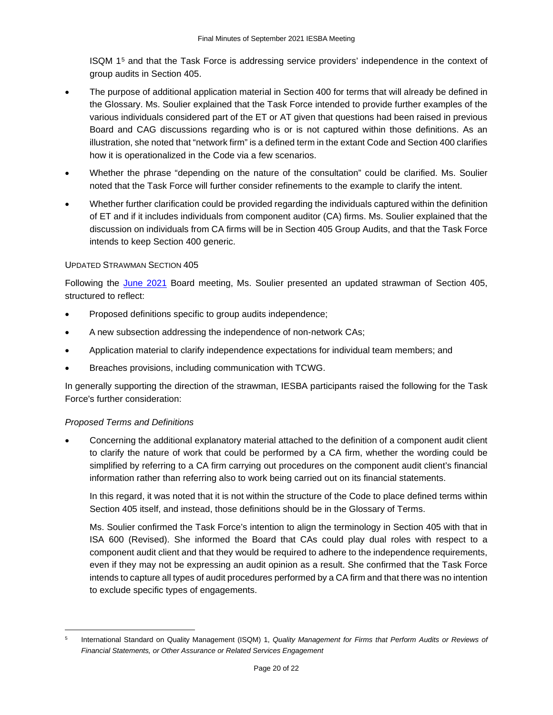ISQM 1[5](#page-19-0) and that the Task Force is addressing service providers' independence in the context of group audits in Section 405.

- The purpose of additional application material in Section 400 for terms that will already be defined in the Glossary. Ms. Soulier explained that the Task Force intended to provide further examples of the various individuals considered part of the ET or AT given that questions had been raised in previous Board and CAG discussions regarding who is or is not captured within those definitions. As an illustration, she noted that "network firm" is a defined term in the extant Code and Section 400 clarifies how it is operationalized in the Code via a few scenarios.
- Whether the phrase "depending on the nature of the consultation" could be clarified. Ms. Soulier noted that the Task Force will further consider refinements to the example to clarify the intent.
- Whether further clarification could be provided regarding the individuals captured within the definition of ET and if it includes individuals from component auditor (CA) firms. Ms. Soulier explained that the discussion on individuals from CA firms will be in Section 405 Group Audits, and that the Task Force intends to keep Section 400 generic.

## UPDATED STRAWMAN SECTION 405

Following the [June 2021](https://www.ethicsboard.org/meetings/june-9-11-14-25-2021-virtual) Board meeting, Ms. Soulier presented an updated strawman of Section 405, structured to reflect:

- Proposed definitions specific to group audits independence;
- A new subsection addressing the independence of non-network CAs;
- Application material to clarify independence expectations for individual team members; and
- Breaches provisions, including communication with TCWG.

In generally supporting the direction of the strawman, IESBA participants raised the following for the Task Force's further consideration:

# *Proposed Terms and Definitions*

• Concerning the additional explanatory material attached to the definition of a component audit client to clarify the nature of work that could be performed by a CA firm, whether the wording could be simplified by referring to a CA firm carrying out procedures on the component audit client's financial information rather than referring also to work being carried out on its financial statements.

In this regard, it was noted that it is not within the structure of the Code to place defined terms within Section 405 itself, and instead, those definitions should be in the Glossary of Terms.

Ms. Soulier confirmed the Task Force's intention to align the terminology in Section 405 with that in ISA 600 (Revised). She informed the Board that CAs could play dual roles with respect to a component audit client and that they would be required to adhere to the independence requirements, even if they may not be expressing an audit opinion as a result. She confirmed that the Task Force intends to capture all types of audit procedures performed by a CA firm and that there was no intention to exclude specific types of engagements.

<span id="page-19-0"></span><sup>5</sup> International Standard on Quality Management (ISQM) 1, *Quality Management for Firms that Perform Audits or Reviews of Financial Statements, or Other Assurance or Related Services Engagement*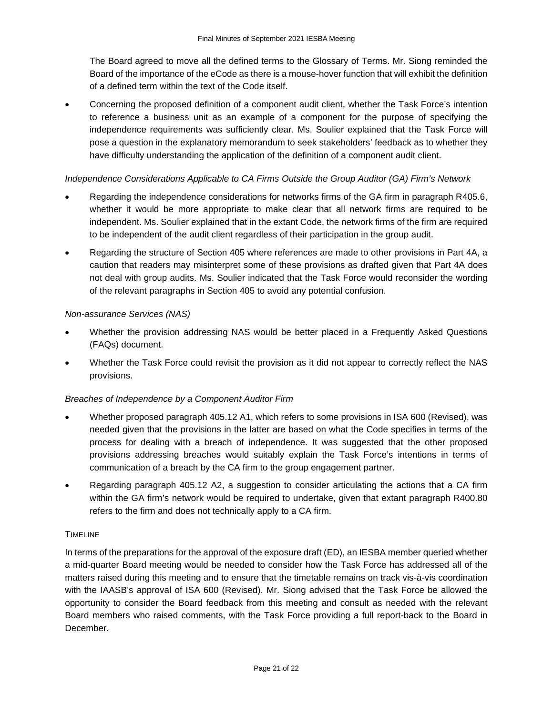The Board agreed to move all the defined terms to the Glossary of Terms. Mr. Siong reminded the Board of the importance of the eCode as there is a mouse-hover function that will exhibit the definition of a defined term within the text of the Code itself.

• Concerning the proposed definition of a component audit client, whether the Task Force's intention to reference a business unit as an example of a component for the purpose of specifying the independence requirements was sufficiently clear. Ms. Soulier explained that the Task Force will pose a question in the explanatory memorandum to seek stakeholders' feedback as to whether they have difficulty understanding the application of the definition of a component audit client.

# *Independence Considerations Applicable to CA Firms Outside the Group Auditor (GA) Firm's Network*

- Regarding the independence considerations for networks firms of the GA firm in paragraph R405.6, whether it would be more appropriate to make clear that all network firms are required to be independent. Ms. Soulier explained that in the extant Code, the network firms of the firm are required to be independent of the audit client regardless of their participation in the group audit.
- Regarding the structure of Section 405 where references are made to other provisions in Part 4A, a caution that readers may misinterpret some of these provisions as drafted given that Part 4A does not deal with group audits. Ms. Soulier indicated that the Task Force would reconsider the wording of the relevant paragraphs in Section 405 to avoid any potential confusion.

# *Non-assurance Services (NAS)*

- Whether the provision addressing NAS would be better placed in a Frequently Asked Questions (FAQs) document.
- Whether the Task Force could revisit the provision as it did not appear to correctly reflect the NAS provisions.

# *Breaches of Independence by a Component Auditor Firm*

- Whether proposed paragraph 405.12 A1, which refers to some provisions in ISA 600 (Revised), was needed given that the provisions in the latter are based on what the Code specifies in terms of the process for dealing with a breach of independence. It was suggested that the other proposed provisions addressing breaches would suitably explain the Task Force's intentions in terms of communication of a breach by the CA firm to the group engagement partner.
- Regarding paragraph 405.12 A2, a suggestion to consider articulating the actions that a CA firm within the GA firm's network would be required to undertake, given that extant paragraph R400.80 refers to the firm and does not technically apply to a CA firm.

# TIMELINE

In terms of the preparations for the approval of the exposure draft (ED), an IESBA member queried whether a mid-quarter Board meeting would be needed to consider how the Task Force has addressed all of the matters raised during this meeting and to ensure that the timetable remains on track vis-à-vis coordination with the IAASB's approval of ISA 600 (Revised). Mr. Siong advised that the Task Force be allowed the opportunity to consider the Board feedback from this meeting and consult as needed with the relevant Board members who raised comments, with the Task Force providing a full report-back to the Board in December.